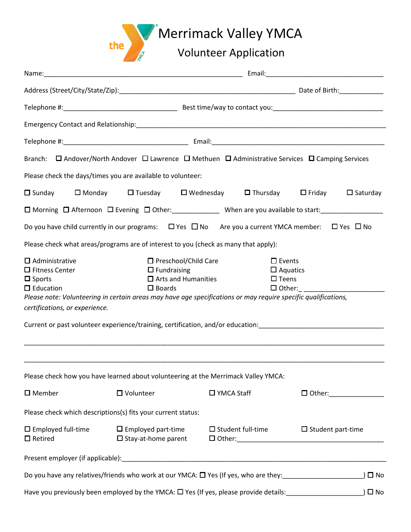

## Name:\_\_\_\_\_\_\_\_\_\_\_\_\_\_\_\_\_\_\_\_\_\_\_\_\_\_\_\_\_\_\_\_\_\_\_\_\_\_\_\_\_\_\_\_\_\_\_\_\_\_\_\_\_\_ Email:\_\_\_\_\_\_\_\_\_\_\_\_\_\_\_\_\_\_\_\_\_\_\_\_\_\_\_\_\_\_\_\_ Address (Street/City/State/Zip): entitled and the state of Birth: entitled and the state of Birth: Telephone #: <br>
Sest time/way to contact you: Emergency Contact and Relationship:\_\_\_\_\_\_\_\_\_\_\_\_\_\_\_\_\_\_\_\_\_\_\_\_\_\_\_\_\_\_\_\_\_\_\_\_\_\_\_\_\_\_\_\_\_\_\_\_\_\_\_\_\_\_\_\_\_\_\_\_\_\_\_\_\_\_\_\_ Telephone #:\_\_\_\_\_\_\_\_\_\_\_\_\_\_\_\_\_\_\_\_\_\_\_\_\_\_\_\_\_\_\_\_\_\_ Email:\_\_\_\_\_\_\_\_\_\_\_\_\_\_\_\_\_\_\_\_\_\_\_\_\_\_\_\_\_\_\_\_\_\_\_\_\_\_\_\_\_\_\_\_\_\_\_ Branch:  $\Box$  Andover/North Andover  $\Box$  Lawrence  $\Box$  Methuen  $\Box$  Administrative Services  $\Box$  Camping Services Please check the days/times you are available to volunteer:  $\square$  Sunday  $\square$  Monday  $\square$  Tuesday  $\square$  Wednesday  $\square$  Thursday  $\square$  Friday  $\square$  Saturday  $\square$  Morning  $\square$  Afternoon  $\square$  Evening  $\square$  Other: When are you available to start: Do you have child currently in our programs:  $\Box$  Yes  $\Box$  No Are you a current YMCA member:  $\Box$  Yes  $\Box$  No Please check what areas/programs are of interest to you (check as many that apply):  $\square$  Administrative  $\square$  Preschool/Child Care  $\square$  Events  $\square$  Fitness Center  $\square$  Fundraising  $\square$  Aquatics  $\square$  Aquatics  $\square$  Sports  $\square$  Arts and Humanities  $\square$  Teens  $\square$  Education  $\square$  Boards  $\square$  Boards  $\square$  Other: Please note: Volunteering in certain areas may have age specifications or may require specific qualifications, certifications, or experience. Current or past volunteer experience/training, certification, and/or education: \_\_\_\_\_\_\_\_\_\_\_\_\_\_\_\_\_\_\_\_\_\_\_\_\_\_\_\_\_\_\_\_\_\_\_\_\_\_\_\_\_\_\_\_\_\_\_\_\_\_\_\_\_\_\_\_\_\_\_\_\_\_\_\_\_\_\_\_\_\_\_\_\_\_\_\_\_\_\_\_\_\_\_\_\_\_\_\_\_\_\_\_\_\_\_\_\_\_ \_\_\_\_\_\_\_\_\_\_\_\_\_\_\_\_\_\_\_\_\_\_\_\_\_\_\_\_\_\_\_\_\_\_\_\_\_\_\_\_\_\_\_\_\_\_\_\_\_\_\_\_\_\_\_\_\_\_\_\_\_\_\_\_\_\_\_\_\_\_\_\_\_\_\_\_\_\_\_\_\_\_\_\_\_\_\_\_\_\_\_\_\_\_\_\_\_\_ Please check how you have learned about volunteering at the Merrimack Valley YMCA: Member Volunteer YMCA Staff Other:\_\_\_\_\_\_\_\_\_\_\_\_\_\_\_ Please check which descriptions(s) fits your current status:  $\square$  Employed full-time  $\square$  Employed part-time  $\square$  Student full-time  $\square$  Student part-time Retired Stay-at-home parent Other:\_\_\_\_\_\_\_\_\_\_\_\_\_\_\_\_\_\_\_\_\_\_\_\_\_\_\_\_\_\_\_\_\_\_\_\_\_\_\_\_ Present employer (if applicable): Do you have any relatives/friends who work at our YMCA:  $\Box$  Yes (If yes, who are they:  $\Box$   $\Box$  No Have you previously been employed by the YMCA:  $\Box$  Yes (If yes, please provide details:  $\Box$  No